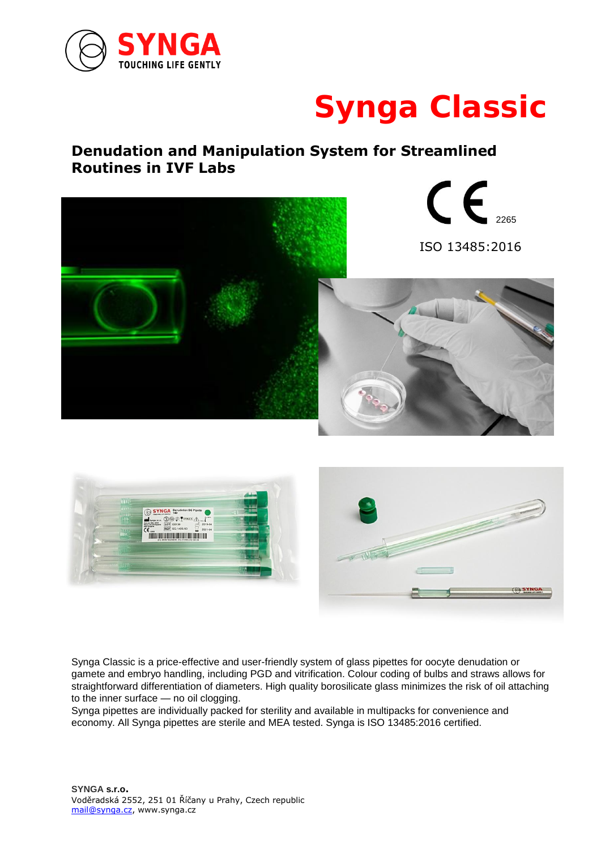

# **Synga Classic**

### **Denudation and Manipulation System for Streamlined Routines in IVF Labs**





Synga Classic is a price-effective and user-friendly system of glass pipettes for oocyte denudation or gamete and embryo handling, including PGD and vitrification. Colour coding of bulbs and straws allows for straightforward differentiation of diameters. High quality borosilicate glass minimizes the risk of oil attaching to the inner surface — no oil clogging.

Synga pipettes are individually packed for sterility and available in multipacks for convenience and economy. All Synga pipettes are sterile and MEA tested. Synga is ISO 13485:2016 certified.